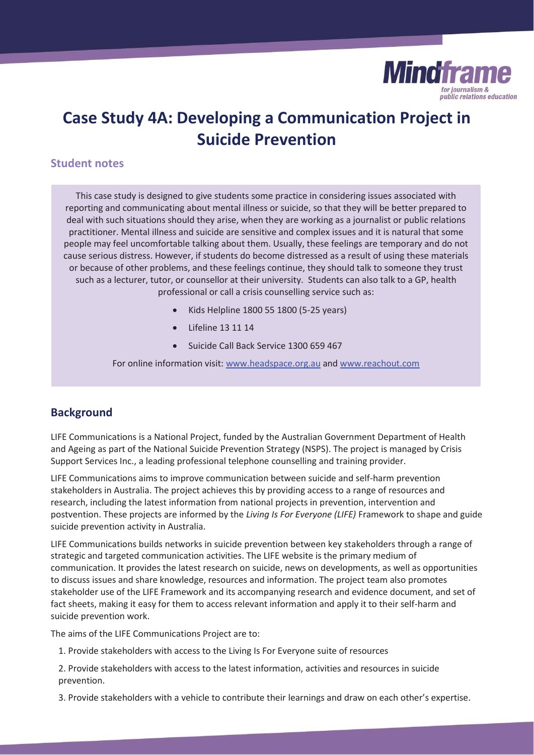

# **Case Study 4A: Developing a Communication Project in Suicide Prevention**

## **Student notes**

This case study is designed to give students some practice in considering issues associated with reporting and communicating about mental illness or suicide, so that they will be better prepared to deal with such situations should they arise, when they are working as a journalist or public relations practitioner. Mental illness and suicide are sensitive and complex issues and it is natural that some people may feel uncomfortable talking about them. Usually, these feelings are temporary and do not cause serious distress. However, if students do become distressed as a result of using these materials or because of other problems, and these feelings continue, they should talk to someone they trust such as a lecturer, tutor, or counsellor at their university. Students can also talk to a GP, health professional or call a crisis counselling service such as:

- x Kids Helpline 1800 55 1800 (5-25 years)
- Lifeline 13 11 14
- Suicide Call Back Service 1300 659 467

For online information visit: www.headspace.org.au and www.reachout.com

# **Background**

LIFE Communications is a National Project, funded by the Australian Government Department of Health and Ageing as part of the National Suicide Prevention Strategy (NSPS). The project is managed by Crisis Support Services Inc., a leading professional telephone counselling and training provider.

LIFE Communications aims to improve communication between suicide and self-harm prevention stakeholders in Australia. The project achieves this by providing access to a range of resources and research, including the latest information from national projects in prevention, intervention and postvention. These projects are informed by the *Living Is For Everyone (LIFE)* Framework to shape and guide suicide prevention activity in Australia.

LIFE Communications builds networks in suicide prevention between key stakeholders through a range of strategic and targeted communication activities. The LIFE website is the primary medium of communication. It provides the latest research on suicide, news on developments, as well as opportunities to discuss issues and share knowledge, resources and information. The project team also promotes stakeholder use of the LIFE Framework and its accompanying research and evidence document, and set of fact sheets, making it easy for them to access relevant information and apply it to their self-harm and suicide prevention work.

The aims of the LIFE Communications Project are to:

- 1. Provide stakeholders with access to the Living Is For Everyone suite of resources
- 2. Provide stakeholders with access to the latest information, activities and resources in suicide prevention.
- 3. Provide stakeholders with a vehicle to contribute their learnings and draw on each other's expertise.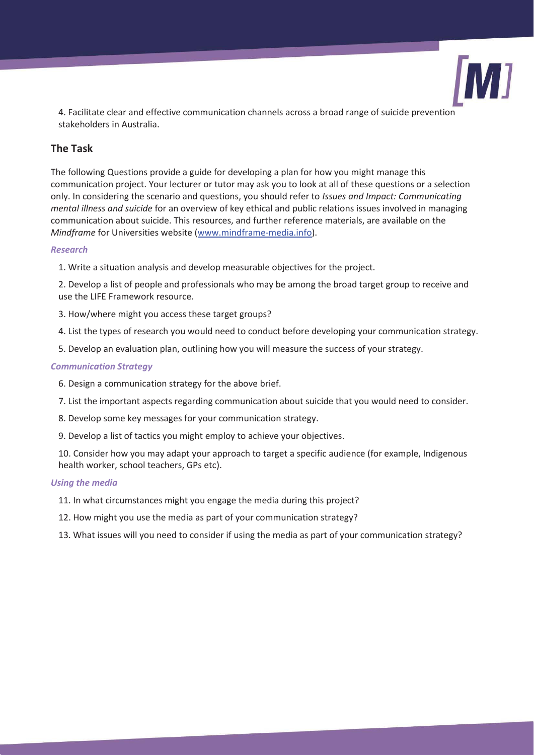

4. Facilitate clear and effective communication channels across a broad range of suicide prevention stakeholders in Australia.

# **The Task**

The following Questions provide a guide for developing a plan for how you might manage this communication project. Your lecturer or tutor may ask you to look at all of these questions or a selection only. In considering the scenario and questions, you should refer to *Issues and Impact: Communicating mental illness and suicide* for an overview of key ethical and public relations issues involved in managing communication about suicide. This resources, and further reference materials, are available on the *Mindframe* for Universities website (www.mindframe-media.info).

### *Research*

1. Write a situation analysis and develop measurable objectives for the project.

2. Develop a list of people and professionals who may be among the broad target group to receive and use the LIFE Framework resource.

- 3. How/where might you access these target groups?
- 4. List the types of research you would need to conduct before developing your communication strategy.
- 5. Develop an evaluation plan, outlining how you will measure the success of your strategy.

#### *Communication Strategy*

- 6. Design a communication strategy for the above brief.
- 7. List the important aspects regarding communication about suicide that you would need to consider.
- 8. Develop some key messages for your communication strategy.
- 9. Develop a list of tactics you might employ to achieve your objectives.

10. Consider how you may adapt your approach to target a specific audience (for example, Indigenous health worker, school teachers, GPs etc).

#### *Using the media*

- 11. In what circumstances might you engage the media during this project?
- 12. How might you use the media as part of your communication strategy?
- 13. What issues will you need to consider if using the media as part of your communication strategy?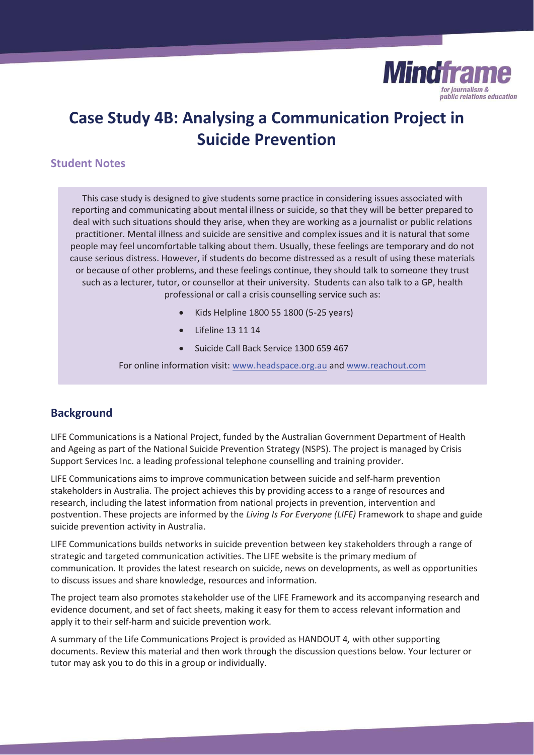

# **Case Study 4B: Analysing a Communication Project in Suicide Prevention**

# **Student Notes**

This case study is designed to give students some practice in considering issues associated with reporting and communicating about mental illness or suicide, so that they will be better prepared to deal with such situations should they arise, when they are working as a journalist or public relations practitioner. Mental illness and suicide are sensitive and complex issues and it is natural that some people may feel uncomfortable talking about them. Usually, these feelings are temporary and do not cause serious distress. However, if students do become distressed as a result of using these materials or because of other problems, and these feelings continue, they should talk to someone they trust such as a lecturer, tutor, or counsellor at their university. Students can also talk to a GP, health professional or call a crisis counselling service such as:

- x Kids Helpline 1800 55 1800 (5-25 years)
- Lifeline 13 11 14
- Suicide Call Back Service 1300 659 467

For online information visit: www.headspace.org.au and www.reachout.com

# **Background**

LIFE Communications is a National Project, funded by the Australian Government Department of Health and Ageing as part of the National Suicide Prevention Strategy (NSPS). The project is managed by Crisis Support Services Inc. a leading professional telephone counselling and training provider.

LIFE Communications aims to improve communication between suicide and self-harm prevention stakeholders in Australia. The project achieves this by providing access to a range of resources and research, including the latest information from national projects in prevention, intervention and postvention. These projects are informed by the *Living Is For Everyone (LIFE)* Framework to shape and guide suicide prevention activity in Australia.

LIFE Communications builds networks in suicide prevention between key stakeholders through a range of strategic and targeted communication activities. The LIFE website is the primary medium of communication. It provides the latest research on suicide, news on developments, as well as opportunities to discuss issues and share knowledge, resources and information.

The project team also promotes stakeholder use of the LIFE Framework and its accompanying research and evidence document, and set of fact sheets, making it easy for them to access relevant information and apply it to their self-harm and suicide prevention work.

A summary of the Life Communications Project is provided as HANDOUT 4*,* with other supporting documents. Review this material and then work through the discussion questions below. Your lecturer or tutor may ask you to do this in a group or individually.